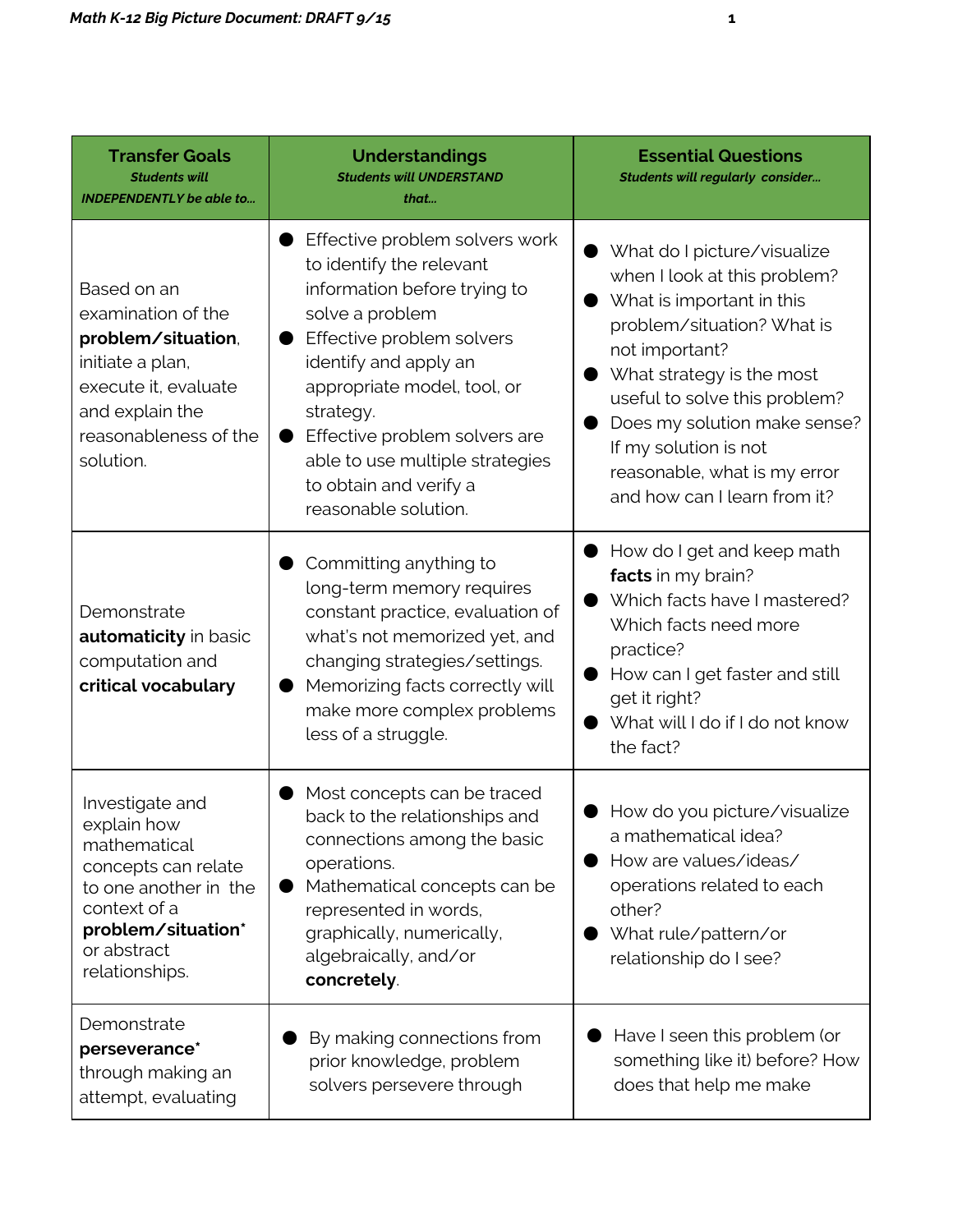| <b>Transfer Goals</b><br><b>Students will</b><br><b>INDEPENDENTLY</b> be able to                                                                                      | <b>Understandings</b><br><b>Students will UNDERSTAND</b><br>that                                                                                                                                                                                                                                                                      | <b>Essential Questions</b><br><b>Students will regularly consider</b>                                                                                                                                                                                                                                                           |
|-----------------------------------------------------------------------------------------------------------------------------------------------------------------------|---------------------------------------------------------------------------------------------------------------------------------------------------------------------------------------------------------------------------------------------------------------------------------------------------------------------------------------|---------------------------------------------------------------------------------------------------------------------------------------------------------------------------------------------------------------------------------------------------------------------------------------------------------------------------------|
| Based on an<br>examination of the<br>problem/situation,<br>initiate a plan,<br>execute it, evaluate<br>and explain the<br>reasonableness of the<br>solution.          | Effective problem solvers work<br>to identify the relevant<br>information before trying to<br>solve a problem<br>Effective problem solvers<br>identify and apply an<br>appropriate model, tool, or<br>strategy.<br>Effective problem solvers are<br>able to use multiple strategies<br>to obtain and verify a<br>reasonable solution. | What do I picture/visualize<br>when I look at this problem?<br>What is important in this<br>problem/situation? What is<br>not important?<br>What strategy is the most<br>useful to solve this problem?<br>Does my solution make sense?<br>If my solution is not<br>reasonable, what is my error<br>and how can I learn from it? |
| Demonstrate<br>automaticity in basic<br>computation and<br>critical vocabulary                                                                                        | Committing anything to<br>long-term memory requires<br>constant practice, evaluation of<br>what's not memorized yet, and<br>changing strategies/settings.<br>Memorizing facts correctly will<br>make more complex problems<br>less of a struggle.                                                                                     | How do I get and keep math<br>facts in my brain?<br>Which facts have I mastered?<br>Which facts need more<br>practice?<br>How can I get faster and still<br>get it right?<br>What will I do if I do not know<br>the fact?                                                                                                       |
| Investigate and<br>explain how<br>mathematical<br>concepts can relate<br>to one another in the<br>context of a<br>problem/situation*<br>or abstract<br>relationships. | Most concepts can be traced<br>back to the relationships and<br>connections among the basic<br>operations.<br>Mathematical concepts can be<br>represented in words,<br>graphically, numerically,<br>algebraically, and/or<br>concretely.                                                                                              | How do you picture/visualize<br>a mathematical idea?<br>How are values/ideas/<br>operations related to each<br>other?<br>What rule/pattern/or<br>relationship do I see?                                                                                                                                                         |
| Demonstrate<br>perseverance*<br>through making an<br>attempt, evaluating                                                                                              | By making connections from<br>prior knowledge, problem<br>solvers persevere through                                                                                                                                                                                                                                                   | Have I seen this problem (or<br>something like it) before? How<br>does that help me make                                                                                                                                                                                                                                        |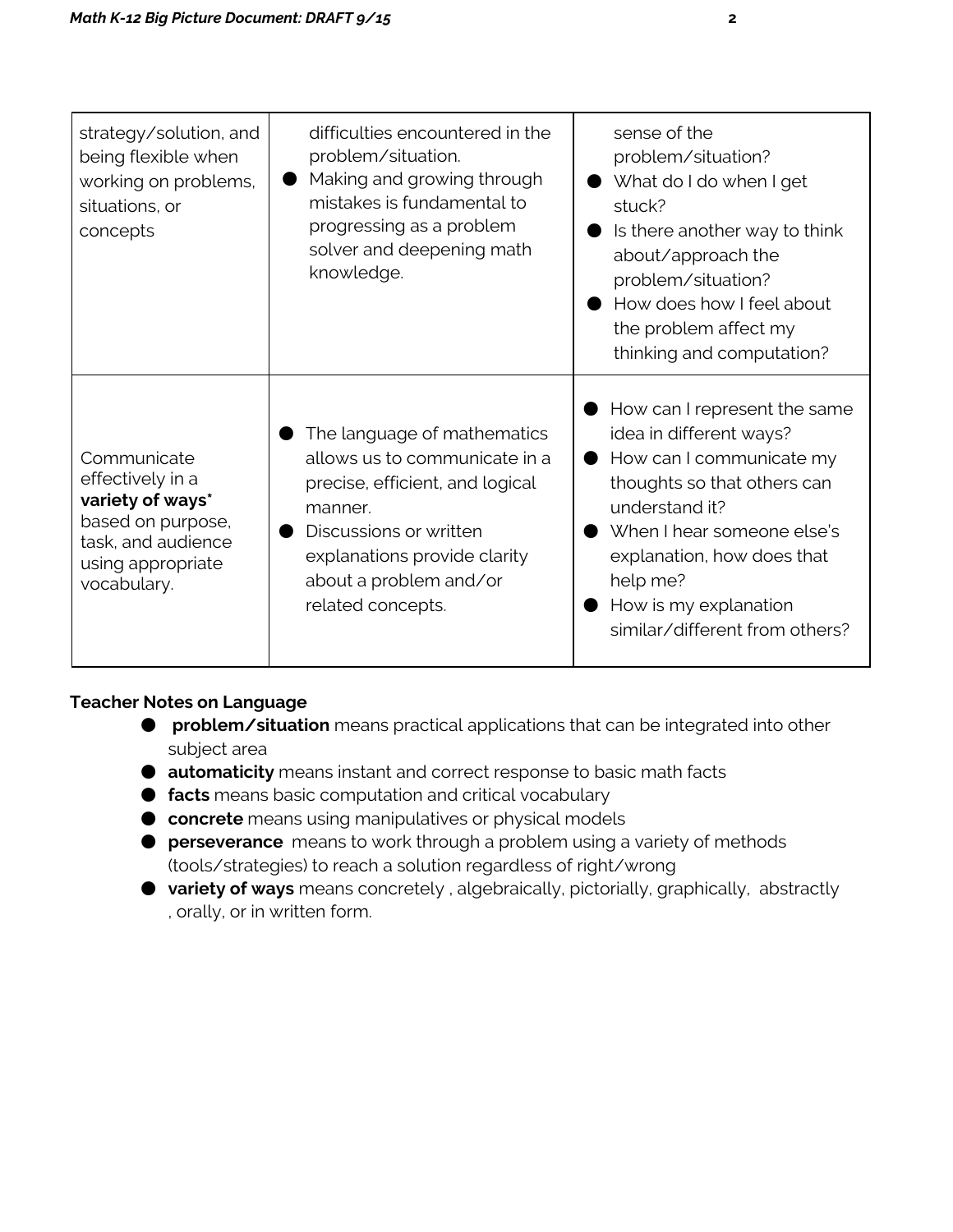| strategy/solution, and<br>being flexible when<br>working on problems,<br>situations, or<br>concepts                                | difficulties encountered in the<br>problem/situation.<br>Making and growing through<br>mistakes is fundamental to<br>progressing as a problem<br>solver and deepening math<br>knowledge.                            | sense of the<br>problem/situation?<br>What do I do when I get<br>stuck?<br>Is there another way to think<br>about/approach the<br>problem/situation?<br>How does how I feel about<br>the problem affect my<br>thinking and computation?                                 |
|------------------------------------------------------------------------------------------------------------------------------------|---------------------------------------------------------------------------------------------------------------------------------------------------------------------------------------------------------------------|-------------------------------------------------------------------------------------------------------------------------------------------------------------------------------------------------------------------------------------------------------------------------|
| Communicate<br>effectively in a<br>variety of ways*<br>based on purpose,<br>task, and audience<br>using appropriate<br>vocabulary. | The language of mathematics<br>allows us to communicate in a<br>precise, efficient, and logical<br>manner.<br>Discussions or written<br>explanations provide clarity<br>about a problem and/or<br>related concepts. | How can I represent the same<br>idea in different ways?<br>How can I communicate my<br>thoughts so that others can<br>understand it?<br>When I hear someone else's<br>explanation, how does that<br>help me?<br>How is my explanation<br>similar/different from others? |

### Teacher Notes on Language

- **problem/situation** means practical applications that can be integrated into other subject area
- automaticity means instant and correct response to basic math facts
- facts means basic computation and critical vocabulary
- concrete means using manipulatives or physical models
- **perseverance** means to work through a problem using a variety of methods (tools/strategies) to reach a solution regardless of right/wrong
- variety of ways means concretely, algebraically, pictorially, graphically, abstractly , orally, or in written form.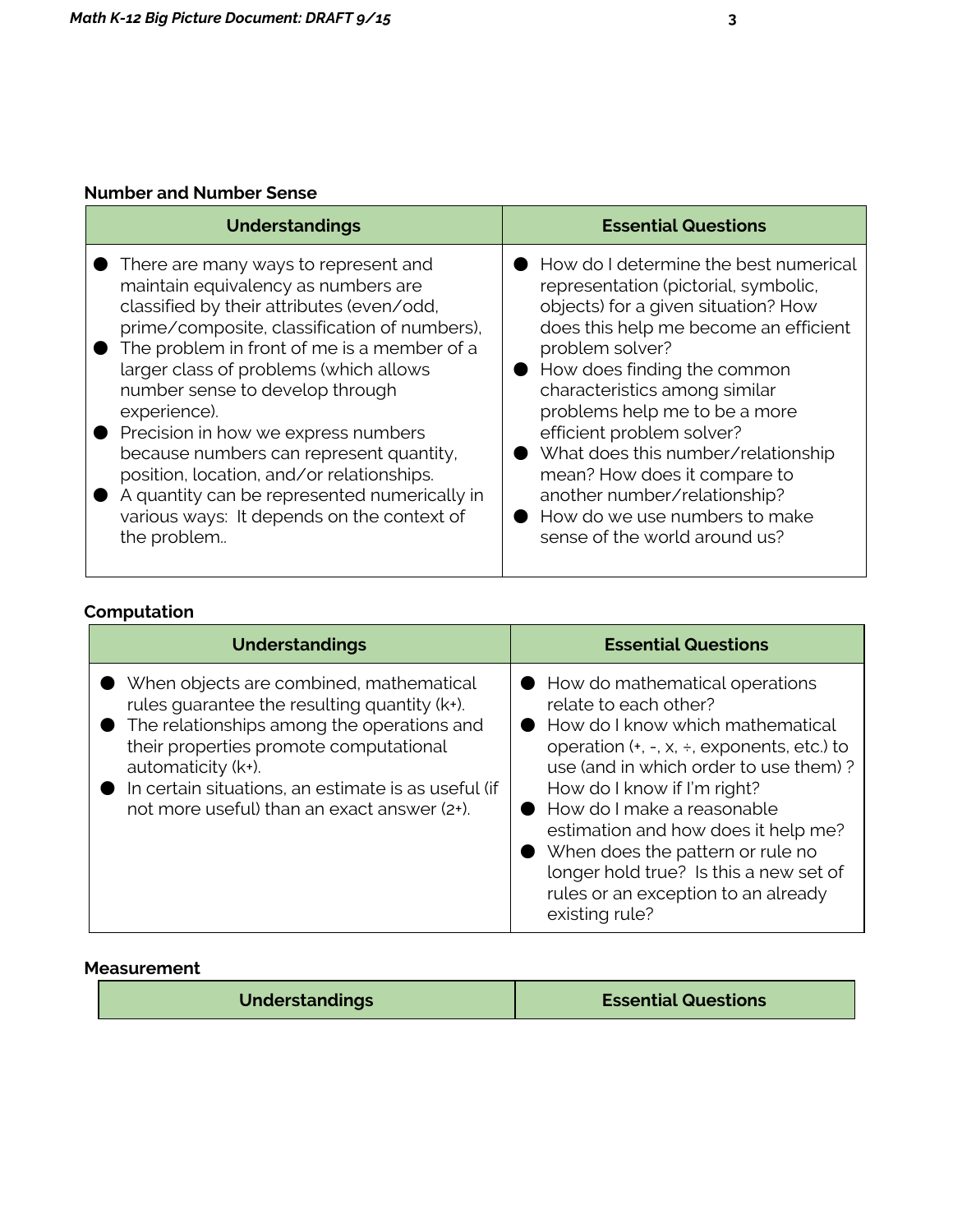### Number and Number Sense

| <b>Understandings</b>                        | <b>Essential Questions</b>            |
|----------------------------------------------|---------------------------------------|
| There are many ways to represent and         | How do I determine the best numerical |
| maintain equivalency as numbers are          | representation (pictorial, symbolic,  |
| classified by their attributes (even/odd,    | objects) for a given situation? How   |
| prime/composite, classification of numbers), | does this help me become an efficient |
| The problem in front of me is a member of a  | problem solver?                       |
| larger class of problems (which allows       | ● How does finding the common         |
| number sense to develop through              | characteristics among similar         |
| experience).                                 | problems help me to be a more         |
| Precision in how we express numbers          | efficient problem solver?             |
| because numbers can represent quantity,      | What does this number/relationship    |
| position, location, and/or relationships.    | mean? How does it compare to          |
| A quantity can be represented numerically in | another number/relationship?          |
| various ways: It depends on the context of   | How do we use numbers to make         |
| the problem                                  | sense of the world around us?         |

# Computation

| <b>Understandings</b>                                                                                                                                                                                                                                                                                       | <b>Essential Questions</b>                                                                                                                                                                                                                                                                                                                                                                                                      |
|-------------------------------------------------------------------------------------------------------------------------------------------------------------------------------------------------------------------------------------------------------------------------------------------------------------|---------------------------------------------------------------------------------------------------------------------------------------------------------------------------------------------------------------------------------------------------------------------------------------------------------------------------------------------------------------------------------------------------------------------------------|
| When objects are combined, mathematical<br>rules guarantee the resulting quantity (k+).<br>The relationships among the operations and<br>their properties promote computational<br>automaticity (k+).<br>In certain situations, an estimate is as useful (if<br>not more useful) than an exact answer (2+). | How do mathematical operations<br>relate to each other?<br>How do I know which mathematical<br>operation $(+, -, x, +,$ exponents, etc.) to<br>use (and in which order to use them)?<br>How do I know if I'm right?<br>How do I make a reasonable<br>estimation and how does it help me?<br>When does the pattern or rule no<br>longer hold true? Is this a new set of<br>rules or an exception to an already<br>existing rule? |

#### Measurement

| <b>Understandings</b> | <b>Essential Questions</b> |
|-----------------------|----------------------------|
|                       |                            |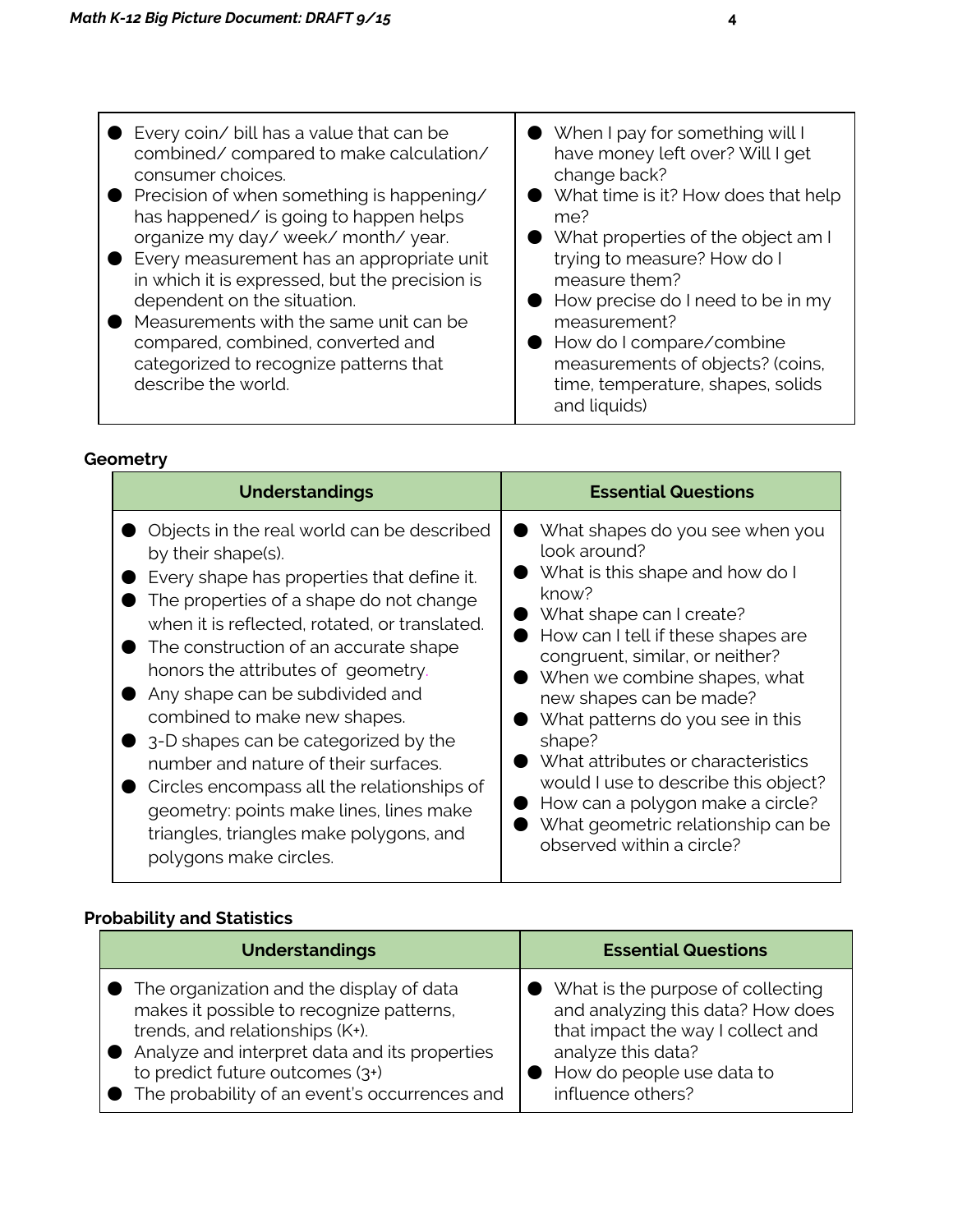| Every coin/ bill has a value that can be       | ● When I pay for something will I            |
|------------------------------------------------|----------------------------------------------|
| combined/compared to make calculation/         | have money left over? Will I get             |
| consumer choices.                              | change back?                                 |
| ● Precision of when something is happening/    | What time is it? How does that help          |
| has happened/ is going to happen helps         | me?                                          |
| organize my day/ week/ month/ year.            | $\bullet$ What properties of the object am I |
| • Every measurement has an appropriate unit    | trying to measure? How do I                  |
| in which it is expressed, but the precision is | measure them?                                |
| dependent on the situation.                    | $\bullet$ How precise do I need to be in my  |
| Measurements with the same unit can be         | measurement?                                 |
| compared, combined, converted and              | ● How do I compare/combine                   |
| categorized to recognize patterns that         | measurements of objects? (coins,             |
| describe the world.                            | time, temperature, shapes, solids            |
|                                                | and liquids)                                 |

### **Geometry**

| <b>Understandings</b>                                                                                                                                                                                                                                                                                                                                                                                                                                                                                                                                                                                      | <b>Essential Questions</b>                                                                                                                                                                                                                                                                                                                                                                                                                                                                     |
|------------------------------------------------------------------------------------------------------------------------------------------------------------------------------------------------------------------------------------------------------------------------------------------------------------------------------------------------------------------------------------------------------------------------------------------------------------------------------------------------------------------------------------------------------------------------------------------------------------|------------------------------------------------------------------------------------------------------------------------------------------------------------------------------------------------------------------------------------------------------------------------------------------------------------------------------------------------------------------------------------------------------------------------------------------------------------------------------------------------|
| Objects in the real world can be described<br>by their shape(s).<br>Every shape has properties that define it.<br>The properties of a shape do not change<br>when it is reflected, rotated, or translated.<br>The construction of an accurate shape<br>honors the attributes of geometry.<br>Any shape can be subdivided and<br>combined to make new shapes.<br>3-D shapes can be categorized by the<br>number and nature of their surfaces.<br>Circles encompass all the relationships of<br>geometry: points make lines, lines make<br>triangles, triangles make polygons, and<br>polygons make circles. | What shapes do you see when you<br>look around?<br>What is this shape and how do I<br>know?<br>What shape can I create?<br>How can I tell if these shapes are<br>congruent, similar, or neither?<br>When we combine shapes, what<br>new shapes can be made?<br>What patterns do you see in this<br>shape?<br>What attributes or characteristics<br>would I use to describe this object?<br>How can a polygon make a circle?<br>What geometric relationship can be<br>observed within a circle? |

# Probability and Statistics

| <b>Understandings</b>                           | <b>Essential Questions</b>          |
|-------------------------------------------------|-------------------------------------|
| • The organization and the display of data      | ● What is the purpose of collecting |
| makes it possible to recognize patterns,        | and analyzing this data? How does   |
| trends, and relationships (K+).                 | that impact the way I collect and   |
| • Analyze and interpret data and its properties | analyze this data?                  |
| to predict future outcomes (3+)                 | How do people use data to           |
| ● The probability of an event's occurrences and | influence others?                   |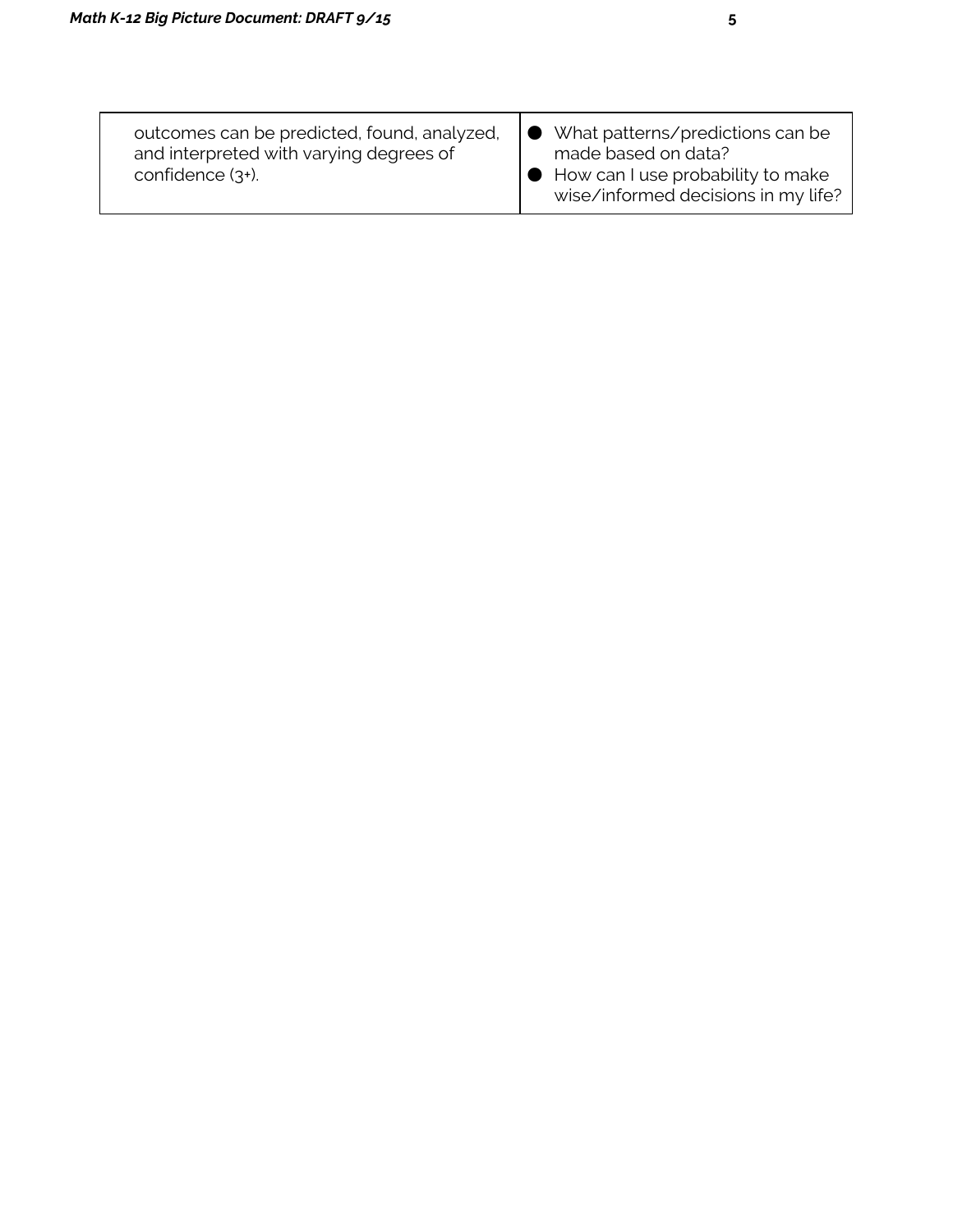| What patterns/predictions can be<br>made based on data?<br>$\bigcup$ How can I use probability to make<br>wise/informed decisions in my life? |
|-----------------------------------------------------------------------------------------------------------------------------------------------|
|                                                                                                                                               |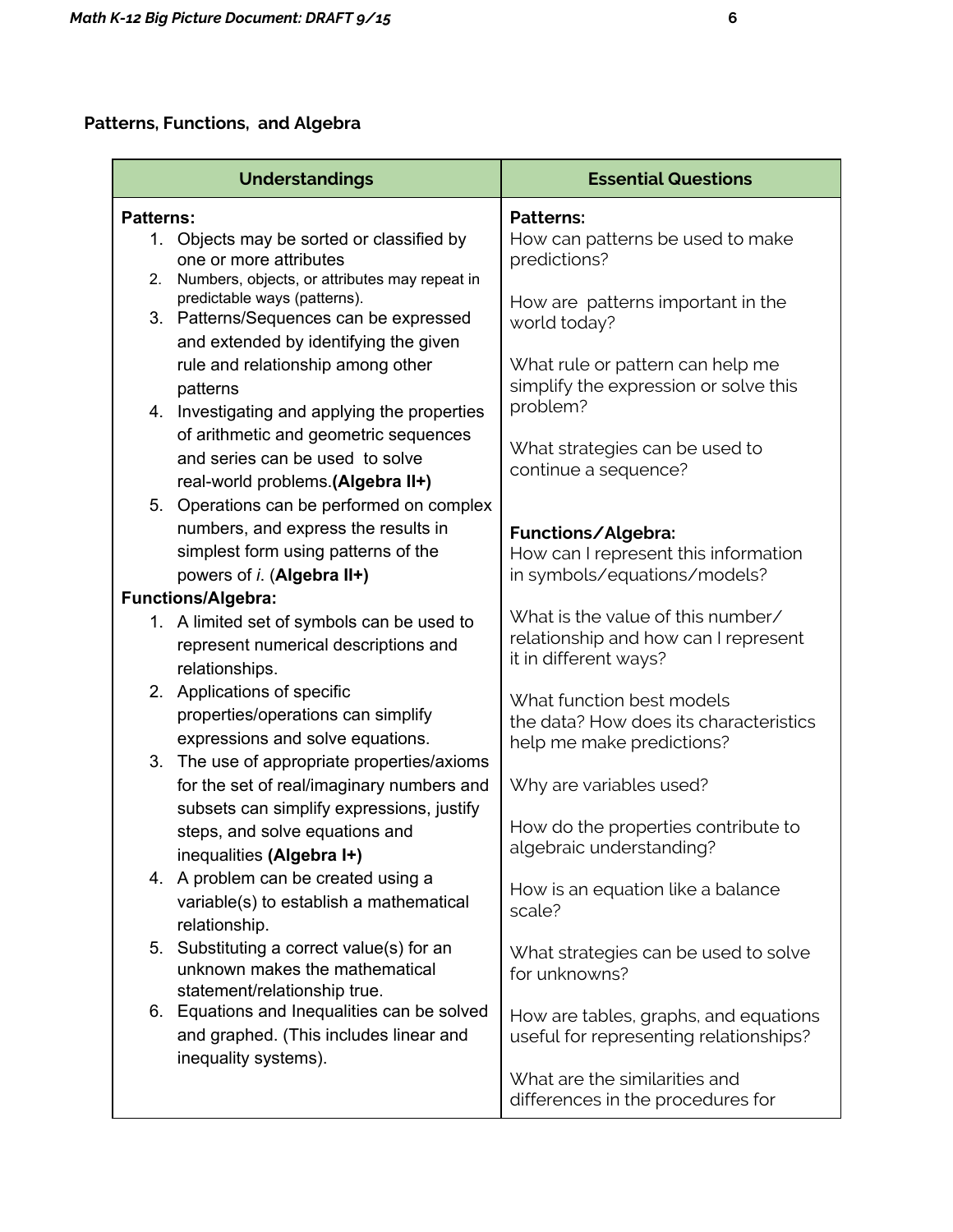# Patterns, Functions, and Algebra

|                   | <b>Understandings</b>                                                                                                              | <b>Essential Questions</b>                                                                         |
|-------------------|------------------------------------------------------------------------------------------------------------------------------------|----------------------------------------------------------------------------------------------------|
| <b>Patterns:</b>  |                                                                                                                                    | <b>Patterns:</b>                                                                                   |
| $1_{\cdot}$<br>2. | Objects may be sorted or classified by<br>one or more attributes<br>Numbers, objects, or attributes may repeat in                  | How can patterns be used to make<br>predictions?                                                   |
|                   | predictable ways (patterns).<br>3. Patterns/Sequences can be expressed<br>and extended by identifying the given                    | How are patterns important in the<br>world today?                                                  |
|                   | rule and relationship among other<br>patterns                                                                                      | What rule or pattern can help me<br>simplify the expression or solve this<br>problem?              |
|                   | 4. Investigating and applying the properties<br>of arithmetic and geometric sequences<br>and series can be used to solve           | What strategies can be used to<br>continue a sequence?                                             |
|                   | real-world problems.(Algebra II+)<br>5. Operations can be performed on complex<br>numbers, and express the results in              |                                                                                                    |
|                   | simplest form using patterns of the<br>powers of <i>i</i> . (Algebra II+)                                                          | Functions/Algebra:<br>How can I represent this information<br>in symbols/equations/models?         |
|                   | <b>Functions/Algebra:</b>                                                                                                          |                                                                                                    |
|                   | 1. A limited set of symbols can be used to<br>represent numerical descriptions and<br>relationships.                               | What is the value of this number/<br>relationship and how can I represent<br>it in different ways? |
| 2.                | Applications of specific<br>properties/operations can simplify<br>expressions and solve equations.                                 | What function best models<br>the data? How does its characteristics<br>help me make predictions?   |
| 3.                | The use of appropriate properties/axioms<br>for the set of real/imaginary numbers and<br>subsets can simplify expressions, justify | Why are variables used?                                                                            |
|                   | steps, and solve equations and<br>inequalities (Algebra I+)                                                                        | How do the properties contribute to<br>algebraic understanding?                                    |
|                   | 4. A problem can be created using a<br>variable(s) to establish a mathematical<br>relationship.                                    | How is an equation like a balance<br>scale?                                                        |
| 5.                | Substituting a correct value(s) for an<br>unknown makes the mathematical<br>statement/relationship true.                           | What strategies can be used to solve<br>for unknowns?                                              |
|                   | 6. Equations and Inequalities can be solved<br>and graphed. (This includes linear and                                              | How are tables, graphs, and equations<br>useful for representing relationships?                    |
|                   | inequality systems).                                                                                                               | What are the similarities and<br>differences in the procedures for                                 |